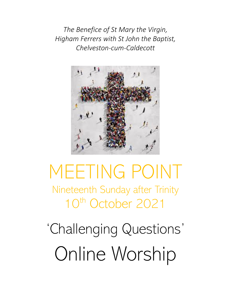*The Benefice of St Mary the Virgin, Higham Ferrers with St John the Baptist, Chelveston-cum-Caldecott*



# MEETING POINT Nineteenth Sunday after Trinity 10<sup>th</sup> October 2021

'Challenging Questions' Online Worship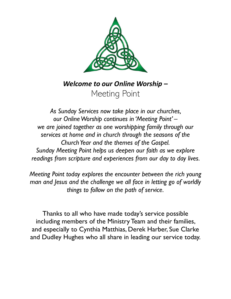

*Welcome to our Online Worship –* Meeting Point

*As Sunday Services now take place in our churches, our Online Worship continues in 'Meeting Point' – we are joined together as one worshipping family through our services at home and in church through the seasons of the Church Year and the themes of the Gospel. Sunday Meeting Point helps us deepen our faith as we explore readings from scripture and experiences from our day to day lives.*

*Meeting Point today explores the encounter between the rich young man and Jesus and the challenge we all face in letting go of worldly things to follow on the path of service.*

Thanks to all who have made today's service possible including members of the Ministry Team and their families, and especially to Cynthia Matthias, Derek Harber, Sue Clarke and Dudley Hughes who all share in leading our service today.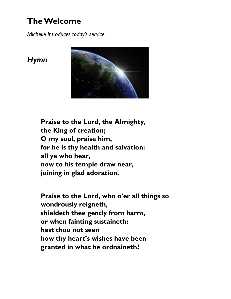## **The Welcome**

*Michelle introduces today's service.*



*Hymn* 

**Praise to the Lord, the Almighty, the King of creation; O my soul, praise him, for he is thy health and salvation: all ye who hear, now to his temple draw near, joining in glad adoration.**

**Praise to the Lord, who o'er all things so wondrously reigneth, shieldeth thee gently from harm, or when fainting sustaineth: hast thou not seen how thy heart's wishes have been granted in what he ordnaineth?**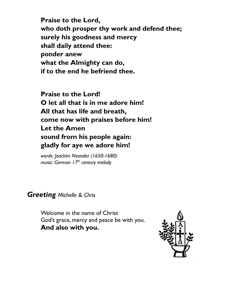**Praise to the Lord, who doth prosper thy work and defend thee; surely his goodness and mercy shall daily attend thee: ponder anew what the Almighty can do, if to the end he befriend thee.**

**Praise to the Lord! O let all that is in me adore him! All that has life and breath, come now with praises before him! Let the Amen sound from his people again: gladly for aye we adore him!**

*words: Joachim Neander (1650-1680) music: German 17th century melody*

*Greeting Michelle & Chris*

Welcome in the name of Christ God's grace, mercy and peace be with you. **And also with you.**

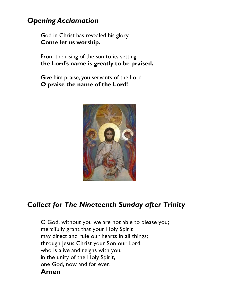## *Opening Acclamation*

God in Christ has revealed his glory. **Come let us worship.**

From the rising of the sun to its setting **the Lord's name is greatly to be praised.**

Give him praise, you servants of the Lord. **O praise the name of the Lord!**



## *Collect for The Nineteenth Sunday after Trinity*

O God, without you we are not able to please you; mercifully grant that your Holy Spirit may direct and rule our hearts in all things; through Jesus Christ your Son our Lord, who is alive and reigns with you, in the unity of the Holy Spirit, one God, now and for ever. **Amen**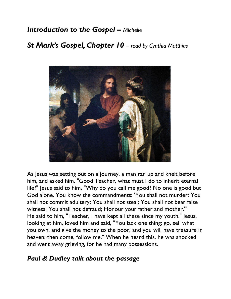## *Introduction to the Gospel – Michelle*

## *St Mark's Gospel, Chapter 10 – read by Cynthia Matthias*



As Jesus was setting out on a journey, a man ran up and knelt before him, and asked him, "Good Teacher, what must I do to inherit eternal life?" Jesus said to him, "Why do you call me good? No one is good but God alone. You know the commandments: 'You shall not murder; You shall not commit adultery; You shall not steal; You shall not bear false witness; You shall not defraud; Honour your father and mother.'" He said to him, "Teacher, I have kept all these since my youth." Jesus, looking at him, loved him and said, "You lack one thing; go, sell what you own, and give the money to the poor, and you will have treasure in heaven; then come, follow me." When he heard this, he was shocked and went away grieving, for he had many possessions.

#### *Paul & Dudley talk about the passage*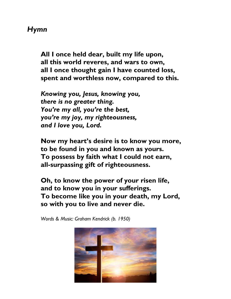## *Hymn*

**All I once held dear, built my life upon, all this world reveres, and wars to own, all I once thought gain I have counted loss, spent and worthless now, compared to this.**

*Knowing you, Jesus, knowing you, there is no greater thing. You're my all, you're the best, you're my joy, my righteousness, and I love you, Lord.*

**Now my heart's desire is to know you more, to be found in you and known as yours. To possess by faith what I could not earn, all-surpassing gift of righteousness.**

**Oh, to know the power of your risen life, and to know you in your sufferings. To become like you in your death, my Lord, so with you to live and never die.**

*Words & Music: Graham Kendrick (b. 1950)*

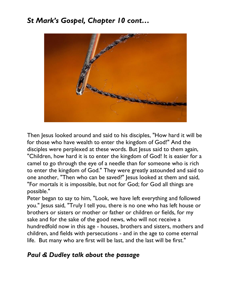## *St Mark's Gospel, Chapter 10 cont…*



Then Jesus looked around and said to his disciples, "How hard it will be for those who have wealth to enter the kingdom of God!" And the disciples were perplexed at these words. But Jesus said to them again, "Children, how hard it is to enter the kingdom of God! It is easier for a camel to go through the eye of a needle than for someone who is rich to enter the kingdom of God." They were greatly astounded and said to one another, "Then who can be saved?" Jesus looked at them and said, "For mortals it is impossible, but not for God; for God all things are possible."

Peter began to say to him, "Look, we have left everything and followed you." Jesus said, "Truly I tell you, there is no one who has left house or brothers or sisters or mother or father or children or fields, for my sake and for the sake of the good news, who will not receive a hundredfold now in this age - houses, brothers and sisters, mothers and children, and fields with persecutions - and in the age to come eternal life. But many who are first will be last, and the last will be first."

#### *Paul & Dudley talk about the passage*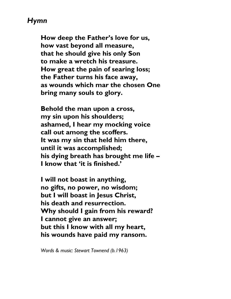## *Hymn*

**How deep the Father's love for us, how vast beyond all measure, that he should give his only Son to make a wretch his treasure. How great the pain of searing loss; the Father turns his face away, as wounds which mar the chosen One bring many souls to glory.**

**Behold the man upon a cross, my sin upon his shoulders; ashamed, I hear my mocking voice call out among the scoffers. It was my sin that held him there, until it was accomplished; his dying breath has brought me life – I know that 'it is finished.'**

**I will not boast in anything, no gifts, no power, no wisdom; but I will boast in Jesus Christ, his death and resurrection. Why should I gain from his reward? I cannot give an answer; but this I know with all my heart, his wounds have paid my ransom.**

*Words & music: Stewart Townend (b.1963)*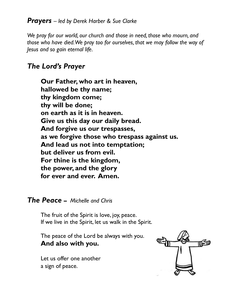#### *Prayers – led by Derek Harber & Sue Clarke*

*We pray for our world, our church and those in need, those who mourn, and those who have died. We pray too for ourselves, that we may follow the way of Jesus and so gain eternal life.*

## *The Lord's Prayer*

**Our Father, who art in heaven, hallowed be thy name; thy kingdom come; thy will be done; on earth as it is in heaven. Give us this day our daily bread. And forgive us our trespasses, as we forgive those who trespass against us. And lead us not into temptation; but deliver us from evil. For thine is the kingdom, the power, and the glory for ever and ever. Amen.**

#### *The Peace* **–** *Michelle and Chris*

The fruit of the Spirit is love, joy, peace. If we live in the Spirit, let us walk in the Spirit.

The peace of the Lord be always with you. **And also with you.**

Let us offer one another a sign of peace.

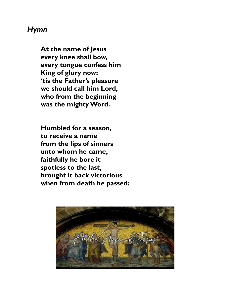#### *Hymn*

**At the name of Jesus every knee shall bow, every tongue confess him King of glory now: 'tis the Father's pleasure we should call him Lord, who from the beginning was the mighty Word.**

**Humbled for a season, to receive a name from the lips of sinners unto whom he came, faithfully he bore it spotless to the last, brought it back victorious when from death he passed:**

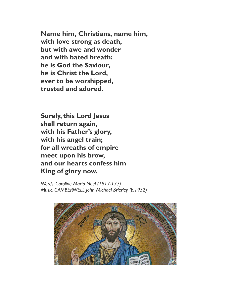**Name him, Christians, name him, with love strong as death, but with awe and wonder and with bated breath: he is God the Saviour, he is Christ the Lord, ever to be worshipped, trusted and adored.**

**Surely, this Lord Jesus shall return again, with his Father's glory, with his angel train; for all wreaths of empire meet upon his brow, and our hearts confess him King of glory now.**

*Words: Caroline Maria Noel (1817-177) Music: CAMBERWELL John Michael Brierley (b.1932)*

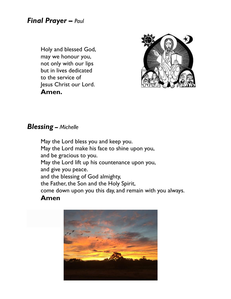Holy and blessed God, may we honour you, not only with our lips but in lives dedicated to the service of Jesus Christ our Lord. **Amen.**



### *Blessing* **–** *Michelle*

May the Lord bless you and keep you. May the Lord make his face to shine upon you, and be gracious to you. May the Lord lift up his countenance upon you, and give you peace. and the blessing of God almighty, the Father, the Son and the Holy Spirit, come down upon you this day, and remain with you always. **Amen**